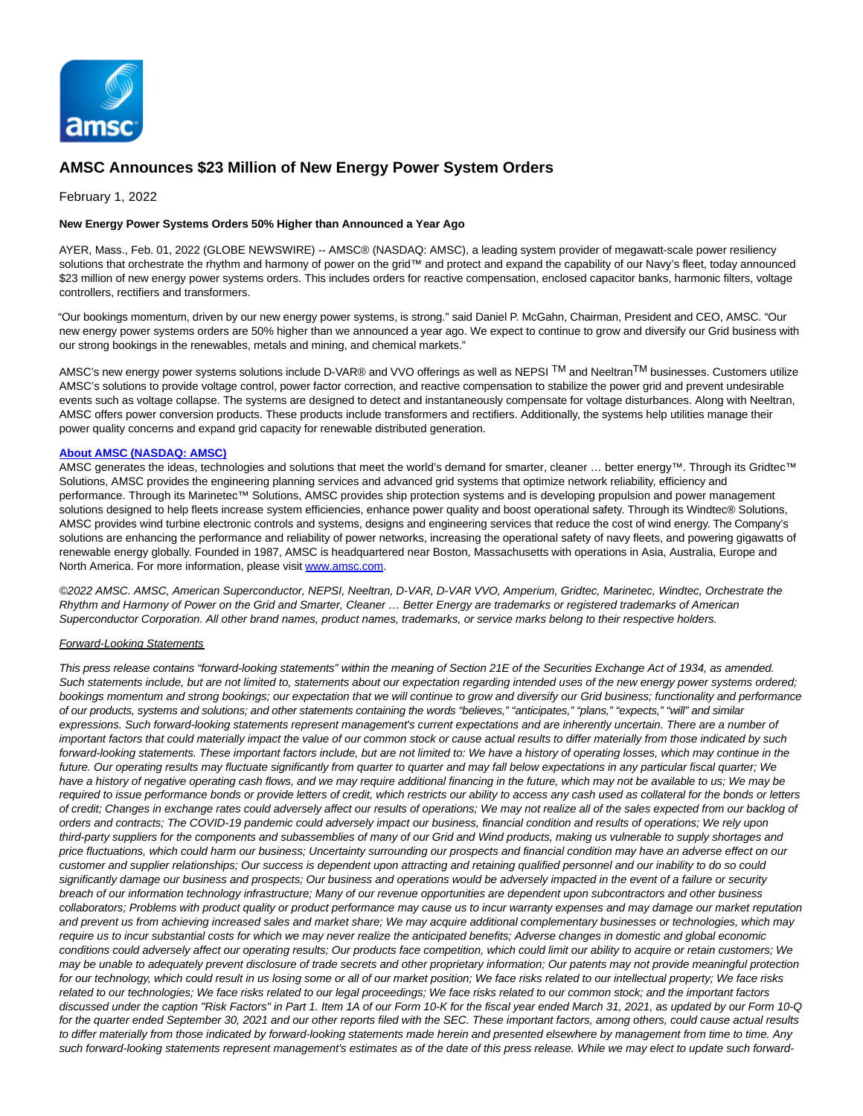

## **AMSC Announces \$23 Million of New Energy Power System Orders**

February 1, 2022

## **New Energy Power Systems Orders 50% Higher than Announced a Year Ago**

AYER, Mass., Feb. 01, 2022 (GLOBE NEWSWIRE) -- AMSC® (NASDAQ: AMSC), a leading system provider of megawatt-scale power resiliency solutions that orchestrate the rhythm and harmony of power on the grid™ and protect and expand the capability of our Navy's fleet, today announced \$23 million of new energy power systems orders. This includes orders for reactive compensation, enclosed capacitor banks, harmonic filters, voltage controllers, rectifiers and transformers.

"Our bookings momentum, driven by our new energy power systems, is strong." said Daniel P. McGahn, Chairman, President and CEO, AMSC. "Our new energy power systems orders are 50% higher than we announced a year ago. We expect to continue to grow and diversify our Grid business with our strong bookings in the renewables, metals and mining, and chemical markets."

AMSC's new energy power systems solutions include D-VAR® and VVO offerings as well as NEPSI TM and Neeltran<sup>TM</sup> businesses. Customers utilize AMSC's solutions to provide voltage control, power factor correction, and reactive compensation to stabilize the power grid and prevent undesirable events such as voltage collapse. The systems are designed to detect and instantaneously compensate for voltage disturbances. Along with Neeltran, AMSC offers power conversion products. These products include transformers and rectifiers. Additionally, the systems help utilities manage their power quality concerns and expand grid capacity for renewable distributed generation.

## **[About AMSC \(NASDAQ: AMSC\)](https://www.globenewswire.com/Tracker?data=we0mp1VD4vCjhH0Vdqu_wleL4caKhJqETuto5hBQqyNtB1qF5GjxhEZlUniM2S94x8MRgf6-vMLLcAMdY3vB-eOUHRNfEugw0sTkS7AOy34=)**

AMSC generates the ideas, technologies and solutions that meet the world's demand for smarter, cleaner ... better energy™. Through its Gridtec™ Solutions, AMSC provides the engineering planning services and advanced grid systems that optimize network reliability, efficiency and performance. Through its Marinetec™ Solutions, AMSC provides ship protection systems and is developing propulsion and power management solutions designed to help fleets increase system efficiencies, enhance power quality and boost operational safety. Through its Windtec® Solutions, AMSC provides wind turbine electronic controls and systems, designs and engineering services that reduce the cost of wind energy. The Company's solutions are enhancing the performance and reliability of power networks, increasing the operational safety of navy fleets, and powering gigawatts of renewable energy globally. Founded in 1987, AMSC is headquartered near Boston, Massachusetts with operations in Asia, Australia, Europe and North America. For more information, please visi[t www.amsc.com.](https://www.globenewswire.com/Tracker?data=JvzURsLMUVMM_Fa0EhoL2eGBKsvpF9VYoVkhKWIDKDe91vVmqW1icsZePBIlvz4ecEtwKDvzdnlwlsSVZyKJrg==)

©2022 AMSC. AMSC, American Superconductor, NEPSI, Neeltran, D-VAR, D-VAR VVO, Amperium, Gridtec, Marinetec, Windtec, Orchestrate the Rhythm and Harmony of Power on the Grid and Smarter, Cleaner … Better Energy are trademarks or registered trademarks of American Superconductor Corporation. All other brand names, product names, trademarks, or service marks belong to their respective holders.

## Forward-Looking Statements

This press release contains "forward-looking statements" within the meaning of Section 21E of the Securities Exchange Act of 1934, as amended. Such statements include, but are not limited to, statements about our expectation regarding intended uses of the new energy power systems ordered; bookings momentum and strong bookings; our expectation that we will continue to grow and diversify our Grid business; functionality and performance of our products, systems and solutions; and other statements containing the words "believes," "anticipates," "plans," "expects," "will" and similar expressions. Such forward-looking statements represent management's current expectations and are inherently uncertain. There are a number of important factors that could materially impact the value of our common stock or cause actual results to differ materially from those indicated by such forward-looking statements. These important factors include, but are not limited to: We have a history of operating losses, which may continue in the future. Our operating results may fluctuate significantly from quarter to quarter and may fall below expectations in any particular fiscal quarter; We have a history of negative operating cash flows, and we may require additional financing in the future, which may not be available to us; We may be required to issue performance bonds or provide letters of credit, which restricts our ability to access any cash used as collateral for the bonds or letters of credit; Changes in exchange rates could adversely affect our results of operations; We may not realize all of the sales expected from our backlog of orders and contracts; The COVID-19 pandemic could adversely impact our business, financial condition and results of operations; We rely upon third-party suppliers for the components and subassemblies of many of our Grid and Wind products, making us vulnerable to supply shortages and price fluctuations, which could harm our business; Uncertainty surrounding our prospects and financial condition may have an adverse effect on our customer and supplier relationships; Our success is dependent upon attracting and retaining qualified personnel and our inability to do so could significantly damage our business and prospects; Our business and operations would be adversely impacted in the event of a failure or security breach of our information technology infrastructure; Many of our revenue opportunities are dependent upon subcontractors and other business collaborators; Problems with product quality or product performance may cause us to incur warranty expenses and may damage our market reputation and prevent us from achieving increased sales and market share; We may acquire additional complementary businesses or technologies, which may require us to incur substantial costs for which we may never realize the anticipated benefits; Adverse changes in domestic and global economic conditions could adversely affect our operating results; Our products face competition, which could limit our ability to acquire or retain customers; We may be unable to adequately prevent disclosure of trade secrets and other proprietary information; Our patents may not provide meaningful protection for our technology, which could result in us losing some or all of our market position; We face risks related to our intellectual property; We face risks related to our technologies; We face risks related to our legal proceedings; We face risks related to our common stock; and the important factors discussed under the caption "Risk Factors" in Part 1. Item 1A of our Form 10-K for the fiscal year ended March 31, 2021, as updated by our Form 10-Q for the quarter ended September 30, 2021 and our other reports filed with the SEC. These important factors, among others, could cause actual results to differ materially from those indicated by forward-looking statements made herein and presented elsewhere by management from time to time. Any such forward-looking statements represent management's estimates as of the date of this press release. While we may elect to update such forward-